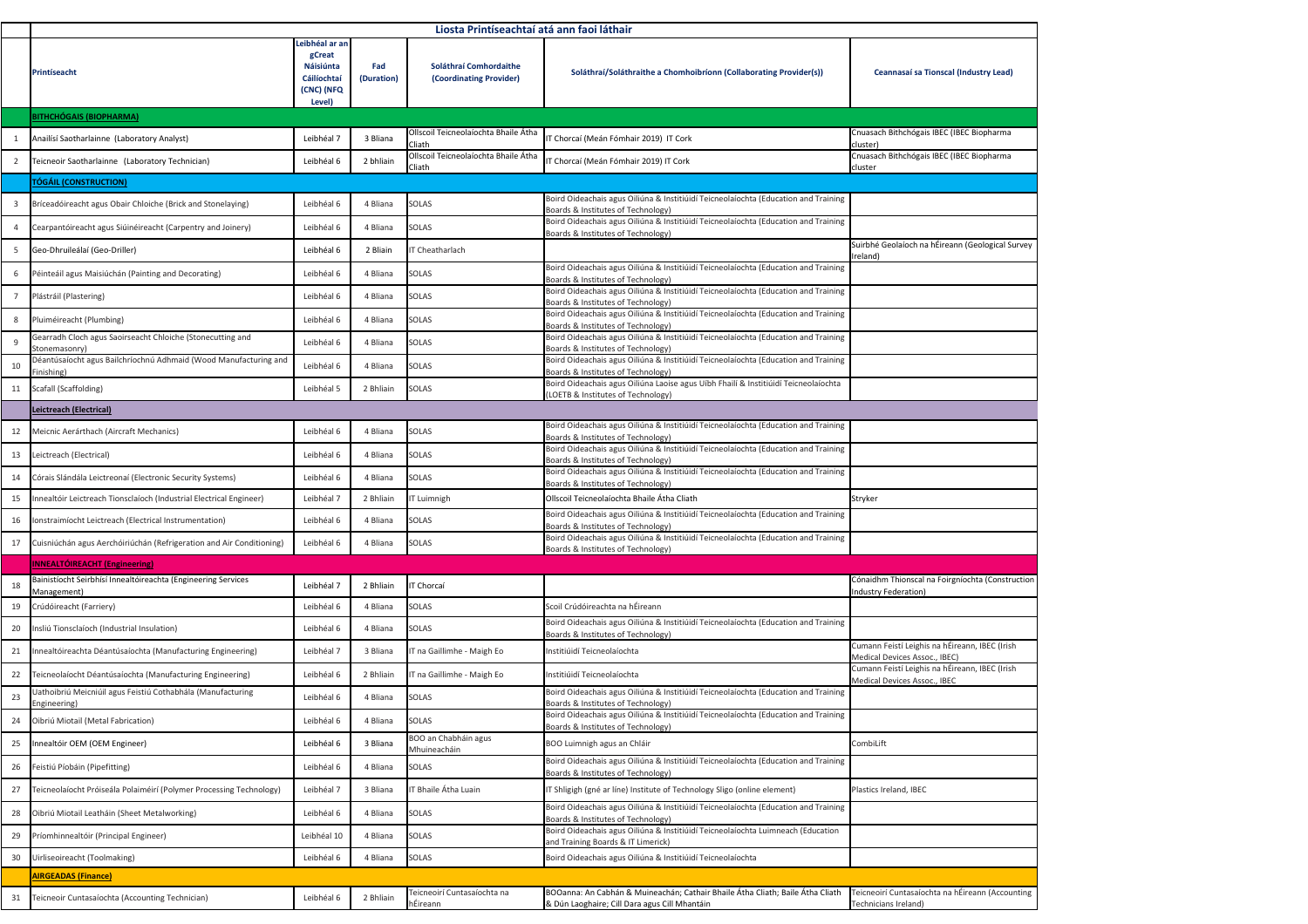|     | Liosta Printíseachtaí atá ann faoi láthair                                     |                                                                                     |                   |                                                       |                                                                                                                                                                 |                                                                                 |  |  |  |
|-----|--------------------------------------------------------------------------------|-------------------------------------------------------------------------------------|-------------------|-------------------------------------------------------|-----------------------------------------------------------------------------------------------------------------------------------------------------------------|---------------------------------------------------------------------------------|--|--|--|
|     | Printíseacht                                                                   | Leibhéal ar an<br>gCreat<br><b>Náisiúnta</b><br>Cáilíochtai<br>(CNC) (NFQ<br>Level) | Fad<br>(Duration) | Soláthraí Comhordaithe<br>(Coordinating Provider)     | Soláthraí/Soláthraithe a Chomhoibríonn (Collaborating Provider(s))                                                                                              | <b>Ceannasaí sa Tionscal (Industry Lead)</b>                                    |  |  |  |
|     | <b>BITHCHÓGAIS (BIOPHARMA)</b>                                                 |                                                                                     |                   |                                                       |                                                                                                                                                                 |                                                                                 |  |  |  |
|     | Anailísí Saotharlainne (Laboratory Analyst)                                    | Leibhéal 7                                                                          | 3 Bliana          | Ollscoil Teicneolaíochta Bhaile Átha<br><b>Cliath</b> | IT Chorcaí (Meán Fómhair 2019) IT Cork                                                                                                                          | Cnuasach Bithchógais IBEC (IBEC Biopharma<br>cluster)                           |  |  |  |
|     | Teicneoir Saotharlainne (Laboratory Technician)                                | Leibhéal 6                                                                          | 2 bhliain         | Ollscoil Teicneolaíochta Bhaile Átha<br><b>Cliath</b> | IT Chorcaí (Meán Fómhair 2019) IT Cork                                                                                                                          | Cnuasach Bithchógais IBEC (IBEC Biopharma<br>cluster                            |  |  |  |
|     | <b>TÓGÁIL (CONSTRUCTION)</b>                                                   |                                                                                     |                   |                                                       |                                                                                                                                                                 |                                                                                 |  |  |  |
|     | Bríceadóireacht agus Obair Chloiche (Brick and Stonelaying)                    | Leibhéal 6                                                                          | 4 Bliana          | <b>SOLAS</b>                                          | Boird Oideachais agus Oiliúna & Institiúidí Teicneolaíochta (Education and Training<br>Boards & Institutes of Technology)                                       |                                                                                 |  |  |  |
|     | Cearpantóireacht agus Siúinéireacht (Carpentry and Joinery)                    | Leibhéal 6                                                                          | 4 Bliana          | <b>SOLAS</b>                                          | Boird Oideachais agus Oiliúna & Institiúidí Teicneolaíochta (Education and Training<br>Boards & Institutes of Technology)                                       |                                                                                 |  |  |  |
|     | Geo-Dhruileálaí (Geo-Driller)                                                  | Leibhéal 6                                                                          | 2 Bliain          | <b>IT Cheatharlach</b>                                |                                                                                                                                                                 | Suirbhé Geolaíoch na hÉireann (Geological Survey<br>Ireland)                    |  |  |  |
| -6  | Péinteáil agus Maisiúchán (Painting and Decorating)                            | Leibhéal 6                                                                          | 4 Bliana          | <b>SOLAS</b>                                          | Boird Oideachais agus Oiliúna & Institiúidí Teicneolaíochta (Education and Training<br>Boards & Institutes of Technology)                                       |                                                                                 |  |  |  |
|     | Plástráil (Plastering)                                                         | Leibhéal 6                                                                          | 4 Bliana          | <b>SOLAS</b>                                          | Boird Oideachais agus Oiliúna & Institiúidí Teicneolaíochta (Education and Training<br>Boards & Institutes of Technology)                                       |                                                                                 |  |  |  |
| - 8 | Pluiméireacht (Plumbing)                                                       | Leibhéal 6                                                                          | 4 Bliana          | <b>SOLAS</b>                                          | Boird Oideachais agus Oiliúna & Institiúidí Teicneolaíochta (Education and Training<br>Boards & Institutes of Technology)                                       |                                                                                 |  |  |  |
| -9  | Gearradh Cloch agus Saoirseacht Chloiche (Stonecutting and<br>Stonemasonry)    | Leibhéal 6                                                                          | 4 Bliana          | <b>SOLAS</b>                                          | Boird Oideachais agus Oiliúna & Institiúidí Teicneolaíochta (Education and Training<br>Boards & Institutes of Technology)                                       |                                                                                 |  |  |  |
| 10  | Déantúsaíocht agus Bailchríochnú Adhmaid (Wood Manufacturing and<br>Finishing) | Leibhéal 6                                                                          | 4 Bliana          | <b>SOLAS</b>                                          | Boird Oideachais agus Oiliúna & Institiúidí Teicneolaíochta (Education and Training<br>Boards & Institutes of Technology)                                       |                                                                                 |  |  |  |
| 11  | Scafall (Scaffolding)                                                          | Leibhéal 5                                                                          | 2 Bhliain         | <b>SOLAS</b>                                          | Boird Oideachais agus Oiliúna Laoise agus Uíbh Fhailí & Institiúidí Teicneolaíochta<br>(LOETB & Institutes of Technology)                                       |                                                                                 |  |  |  |
|     | Leictreach (Electrical)                                                        |                                                                                     |                   |                                                       |                                                                                                                                                                 |                                                                                 |  |  |  |
| 12  | Meicnic Aerárthach (Aircraft Mechanics)                                        | Leibhéal 6                                                                          | 4 Bliana          | <b>SOLAS</b>                                          | Boird Oideachais agus Oiliúna & Institiúidí Teicneolaíochta (Education and Training<br>Boards & Institutes of Technology)                                       |                                                                                 |  |  |  |
| 13  | Leictreach (Electrical)                                                        | Leibhéal 6                                                                          | 4 Bliana          | <b>SOLAS</b>                                          | Boird Oideachais agus Oiliúna & Institiúidí Teicneolaíochta (Education and Training<br>Boards & Institutes of Technology)                                       |                                                                                 |  |  |  |
|     | Córais Slándála Leictreonaí (Electronic Security Systems)                      | Leibhéal 6                                                                          | 4 Bliana          | <b>SOLAS</b>                                          | Boird Oideachais agus Oiliúna & Institiúidí Teicneolaíochta (Education and Training<br>Boards & Institutes of Technology)                                       |                                                                                 |  |  |  |
| 15  | Innealtóir Leictreach Tionsclaíoch (Industrial Electrical Engineer)            | Leibhéal 7                                                                          | 2 Bhliain         | IT Luimnigh                                           | Ollscoil Teicneolaíochta Bhaile Átha Cliath                                                                                                                     | Stryker                                                                         |  |  |  |
| 16  | Ionstraimíocht Leictreach (Electrical Instrumentation)                         | Leibhéal 6                                                                          | 4 Bliana          | <b>SOLAS</b>                                          | Boird Oideachais agus Oiliúna & Institiúidí Teicneolaíochta (Education and Training<br>Boards & Institutes of Technology)                                       |                                                                                 |  |  |  |
| 17  | Cuisniúchán agus Aerchóiriúchán (Refrigeration and Air Conditioning)           | Leibhéal 6                                                                          | 4 Bliana          | <b>SOLAS</b>                                          | Boird Oideachais agus Oiliúna & Institiúidí Teicneolaíochta (Education and Training<br>Boards & Institutes of Technology)                                       |                                                                                 |  |  |  |
|     | <b>INNEALTÓIREACHT (Engineering)</b>                                           |                                                                                     |                   |                                                       |                                                                                                                                                                 |                                                                                 |  |  |  |
| 18  | Bainistíocht Seirbhísí Innealtóireachta (Engineering Services<br>Management)   | Leibhéal 7                                                                          | 2 Bhliain         | IT Chorcaí                                            |                                                                                                                                                                 | Cónaidhm Thionscal na Foirgníochta (Construction<br>Industry Federation)        |  |  |  |
|     | Crúdóireacht (Farriery)                                                        | Leibhéal 6                                                                          | 4 Bliana          | <b>SOLAS</b>                                          | Scoil Crúdóireachta na hÉireann                                                                                                                                 |                                                                                 |  |  |  |
| 20  | Insliú Tionsclaíoch (Industrial Insulation)                                    | Leibhéal 6                                                                          | 4 Bliana          | <b>SOLAS</b>                                          | Boird Oideachais agus Oiliúna & Institiúidí Teicneolaíochta (Education and Training<br>Boards & Institutes of Technology)                                       |                                                                                 |  |  |  |
| 21  | Innealtóireachta Déantúsaíochta (Manufacturing Engineering)                    | Leibhéal 7                                                                          | 3 Bliana          | IT na Gaillimhe - Maigh Eo                            | Institiúidí Teicneolaíochta                                                                                                                                     | Cumann Feistí Leighis na hÉireann, IBEC (Irish<br>Medical Devices Assoc., IBEC) |  |  |  |
| 22  | Teicneolaíocht Déantúsaíochta (Manufacturing Engineering)                      | Leibhéal 6                                                                          | 2 Bhliain         | IT na Gaillimhe - Maigh Eo                            | Institiúidí Teicneolaíochta                                                                                                                                     | Cumann Feistí Leighis na hÉireann, IBEC (Irish<br>Medical Devices Assoc., IBEC  |  |  |  |
| 23  | Uathoibriú Meicniúil agus Feistiú Cothabhála (Manufacturing<br>Engineering)    | Leibhéal 6                                                                          | 4 Bliana          | <b>SOLAS</b>                                          | Boird Oideachais agus Oiliúna & Institiúidí Teicneolaíochta (Education and Training<br>Boards & Institutes of Technology)                                       |                                                                                 |  |  |  |
| 24  | Oibriú Miotail (Metal Fabrication)                                             | Leibhéal 6                                                                          | 4 Bliana          | <b>SOLAS</b>                                          | Boird Oideachais agus Oiliúna & Institiúidí Teicneolaíochta (Education and Training<br>Boards & Institutes of Technology)                                       |                                                                                 |  |  |  |
| 25  | Innealtóir OEM (OEM Engineer)                                                  | Leibhéal 6                                                                          | 3 Bliana          | <b>BOO an Chabháin agus</b><br>Mhuineacháin           | BOO Luimnigh agus an Chláir                                                                                                                                     | CombiLift                                                                       |  |  |  |
| 26  | Feistiú Píobáin (Pipefitting)                                                  | Leibhéal 6                                                                          | 4 Bliana          | <b>SOLAS</b>                                          | Boird Oideachais agus Oiliúna & Institiúidí Teicneolaíochta (Education and Training<br>Boards & Institutes of Technology)                                       |                                                                                 |  |  |  |
| 27  | Teicneolaíocht Próiseála Polaiméirí (Polymer Processing Technology)            | Leibhéal 7                                                                          | 3 Bliana          | T Bhaile Átha Luain                                   | IT Shligigh (gné ar líne) Institute of Technology Sligo (online element)<br>Boird Oideachais agus Oiliúna & Institiúidí Teicneolaíochta (Education and Training | Plastics Ireland, IBEC                                                          |  |  |  |
| 28  | Oibriú Miotail Leatháin (Sheet Metalworking)                                   | Leibhéal 6                                                                          | 4 Bliana          | <b>SOLAS</b>                                          | Boards & Institutes of Technology)<br>Boird Oideachais agus Oiliúna & Institiúidí Teicneolaíochta Luimneach (Education                                          |                                                                                 |  |  |  |
| 29  | Príomhinnealtóir (Principal Engineer)                                          | Leibhéal 10                                                                         | 4 Bliana          | <b>SOLAS</b>                                          | and Training Boards & IT Limerick)                                                                                                                              |                                                                                 |  |  |  |
| 30  | Uirliseoireacht (Toolmaking)                                                   | Leibhéal 6                                                                          | 4 Bliana          | <b>SOLAS</b>                                          | Boird Oideachais agus Oiliúna & Institiúidí Teicneolaíochta                                                                                                     |                                                                                 |  |  |  |
|     | <b>AIRGEADAS (Finance)</b>                                                     |                                                                                     |                   |                                                       |                                                                                                                                                                 |                                                                                 |  |  |  |
| 31  | Teicneoir Cuntasaíochta (Accounting Technician)                                | Leibhéal 6                                                                          | 2 Bhliain         | Teicneoirí Cuntasaíochta na<br>hÉireann               | BOOanna: An Cabhán & Muineachán; Cathair Bhaile Átha Cliath; Baile Átha Cliath<br>& Dún Laoghaire; Cill Dara agus Cill Mhantáin                                 | Teicneoirí Cuntasaíochta na hÉireann (Accounting<br>Technicians Ireland)        |  |  |  |